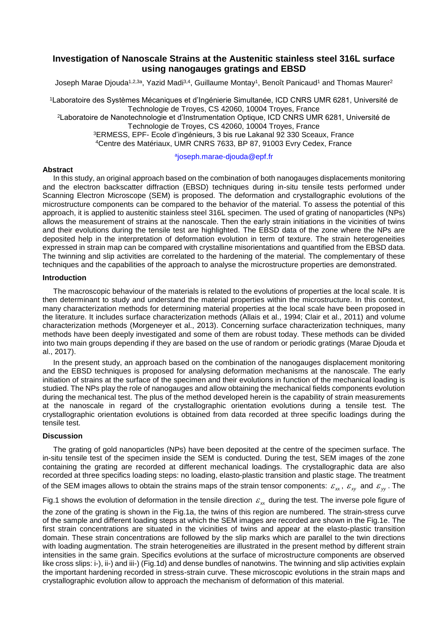# **Investigation of Nanoscale Strains at the Austenitic stainless steel 316L surface using nanogauges gratings and EBSD**

Joseph Marae Djouda1,2,3ª, Yazid Madi<sup>3,4</sup>, Guillaume Montay<sup>1</sup>, Benoît Panicaud<sup>1</sup> and Thomas Maurer<sup>2</sup>

Laboratoire des Systèmes Mécaniques et d'Ingénierie Simultanée, ICD CNRS UMR 6281, Université de Technologie de Troyes, CS 42060, 10004 Troyes, France Laboratoire de Nanotechnologie et d'Instrumentation Optique, ICD CNRS UMR 6281, Université de Technologie de Troyes, CS 42060, 10004 Troyes, France ERMESS, EPF- Ecole d'ingénieurs, 3 bis rue Lakanal 92 330 Sceaux, France Centre des Matériaux, UMR CNRS 7633, BP 87, 91003 Evry Cedex, France

### a [joseph.marae-djouda@epf.fr](mailto:ajoseph.marae-djouda@epf.fr)

#### **Abstract**

In this study, an original approach based on the combination of both nanogauges displacements monitoring and the electron backscatter diffraction (EBSD) techniques during in-situ tensile tests performed under Scanning Electron Microscope (SEM) is proposed. The deformation and crystallographic evolutions of the microstructure components can be compared to the behavior of the material. To assess the potential of this approach, it is applied to austenitic stainless steel 316L specimen. The used of grating of nanoparticles (NPs) allows the measurement of strains at the nanoscale. Then the early strain initiations in the vicinities of twins and their evolutions during the tensile test are highlighted. The EBSD data of the zone where the NPs are deposited help in the interpretation of deformation evolution in term of texture. The strain heterogeneities expressed in strain map can be compared with crystalline misorientations and quantified from the EBSD data. The twinning and slip activities are correlated to the hardening of the material. The complementary of these techniques and the capabilities of the approach to analyse the microstructure properties are demonstrated.

#### **Introduction**

The macroscopic behaviour of the materials is related to the evolutions of properties at the local scale. It is then determinant to study and understand the material properties within the microstructure. In this context, many characterization methods for determining material properties at the local scale have been proposed in the literature. It includes surface characterization methods (Allais et al., 1994; Clair et al., 2011) and volume characterization methods (Morgeneyer et al., 2013). Concerning surface characterization techniques, many methods have been deeply investigated and some of them are robust today. These methods can be divided into two main groups depending if they are based on the use of random or periodic gratings (Marae Djouda et al., 2017).

In the present study, an approach based on the combination of the nanogauges displacement monitoring and the EBSD techniques is proposed for analysing deformation mechanisms at the nanoscale. The early initiation of strains at the surface of the specimen and their evolutions in function of the mechanical loading is studied. The NPs play the role of nanogauges and allow obtaining the mechanical fields components evolution during the mechanical test. The plus of the method developed herein is the capability of strain measurements at the nanoscale in regard of the crystallographic orientation evolutions during a tensile test. The crystallographic orientation evolutions is obtained from data recorded at three specific loadings during the tensile test.

### **Discussion**

The grating of gold nanoparticles (NPs) have been deposited at the centre of the specimen surface. The in-situ tensile test of the specimen inside the SEM is conducted. During the test, SEM images of the zone containing the grating are recorded at different mechanical loadings. The crystallographic data are also recorded at three specifics loading steps: no loading, elasto-plastic transition and plastic stage. The treatment of the SEM images allows to obtain the strains maps of the strain tensor components:  $\varepsilon_{xx}$ ,  $\varepsilon_{xy}$  and  $\varepsilon_{yy}$  . The

Fig.1 shows the evolution of deformation in the tensile direction  $\varepsilon_{xx}$  during the test. The inverse pole figure of

the zone of the grating is shown in the Fig.1a, the twins of this region are numbered. The strain-stress curve of the sample and different loading steps at which the SEM images are recorded are shown in the Fig.1e. The first strain concentrations are situated in the vicinities of twins and appear at the elasto-plastic transition domain. These strain concentrations are followed by the slip marks which are parallel to the twin directions with loading augmentation. The strain heterogeneities are illustrated in the present method by different strain intensities in the same grain. Specifics evolutions at the surface of microstructure components are observed like cross slips: i-), ii-) and iii-) (Fig.1d) and dense bundles of nanotwins. The twinning and slip activities explain the important hardening recorded in stress-strain curve. These microscopic evolutions in the strain maps and crystallographic evolution allow to approach the mechanism of deformation of this material.